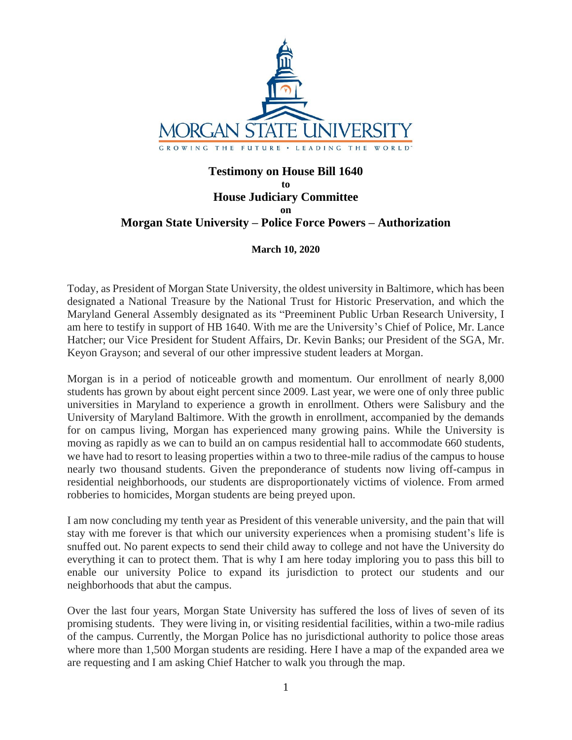

## **Testimony on House Bill 1640 to House Judiciary Committee on Morgan State University – Police Force Powers – Authorization**

## **March 10, 2020**

Today, as President of Morgan State University, the oldest university in Baltimore, which has been designated a National Treasure by the National Trust for Historic Preservation, and which the Maryland General Assembly designated as its "Preeminent Public Urban Research University, I am here to testify in support of HB 1640. With me are the University's Chief of Police, Mr. Lance Hatcher; our Vice President for Student Affairs, Dr. Kevin Banks; our President of the SGA, Mr. Keyon Grayson; and several of our other impressive student leaders at Morgan.

Morgan is in a period of noticeable growth and momentum. Our enrollment of nearly 8,000 students has grown by about eight percent since 2009. Last year, we were one of only three public universities in Maryland to experience a growth in enrollment. Others were Salisbury and the University of Maryland Baltimore. With the growth in enrollment, accompanied by the demands for on campus living, Morgan has experienced many growing pains. While the University is moving as rapidly as we can to build an on campus residential hall to accommodate 660 students, we have had to resort to leasing properties within a two to three-mile radius of the campus to house nearly two thousand students. Given the preponderance of students now living off-campus in residential neighborhoods, our students are disproportionately victims of violence. From armed robberies to homicides, Morgan students are being preyed upon.

I am now concluding my tenth year as President of this venerable university, and the pain that will stay with me forever is that which our university experiences when a promising student's life is snuffed out. No parent expects to send their child away to college and not have the University do everything it can to protect them. That is why I am here today imploring you to pass this bill to enable our university Police to expand its jurisdiction to protect our students and our neighborhoods that abut the campus.

Over the last four years, Morgan State University has suffered the loss of lives of seven of its promising students. They were living in, or visiting residential facilities, within a two-mile radius of the campus. Currently, the Morgan Police has no jurisdictional authority to police those areas where more than 1,500 Morgan students are residing. Here I have a map of the expanded area we are requesting and I am asking Chief Hatcher to walk you through the map.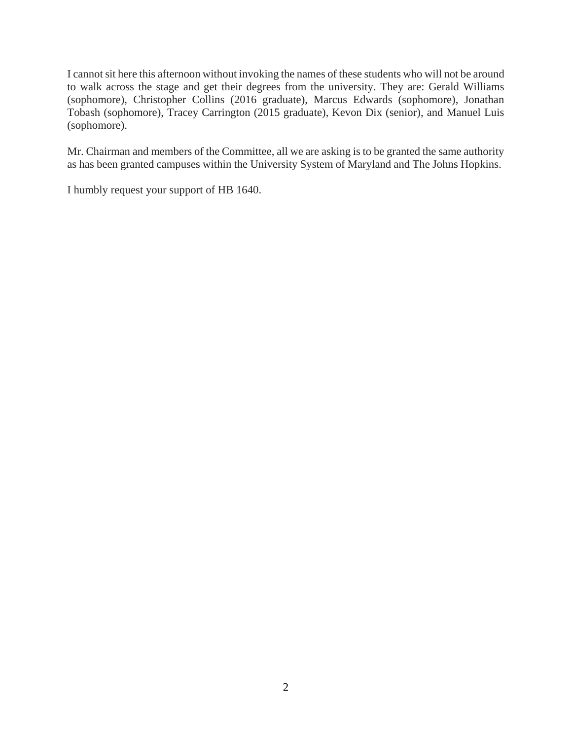I cannot sit here this afternoon without invoking the names of these students who will not be around to walk across the stage and get their degrees from the university. They are: Gerald Williams (sophomore), Christopher Collins (2016 graduate), Marcus Edwards (sophomore), Jonathan Tobash (sophomore), Tracey Carrington (2015 graduate), Kevon Dix (senior), and Manuel Luis (sophomore).

Mr. Chairman and members of the Committee, all we are asking is to be granted the same authority as has been granted campuses within the University System of Maryland and The Johns Hopkins.

I humbly request your support of HB 1640.